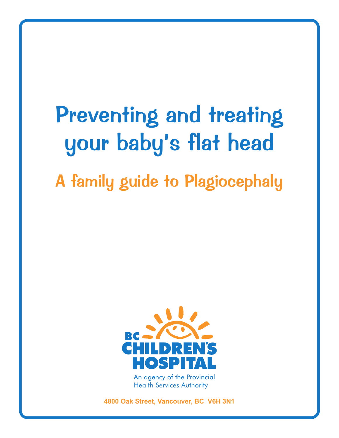# Preventing and treating your baby's flat head

# A family guide to Plagiocephaly



**Health Services Authority** 

**4800 Oak Street, Vancouver, BC V6H 3N1**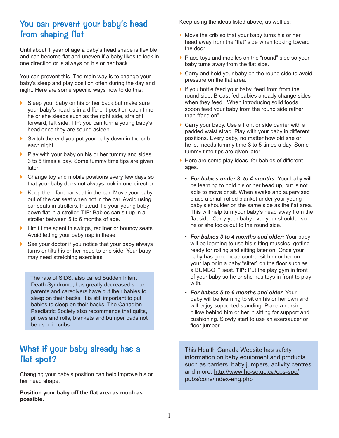### You can prevent your baby's head from shaping flat

Until about 1 year of age a baby's head shape is flexible and can become flat and uneven if a baby likes to look in one direction or is always on his or her back.

You can prevent this. The main way is to change your baby's sleep and play position often during the day and night. Here are some specific ways how to do this:

- ▶ Sleep your baby on his or her back, but make sure your baby's head is in a different position each time he or she sleeps such as the right side, straight forward, left side. TIP: you can turn a young baby's head once they are sound asleep.
- Switch the end you put your baby down in the crib each night.
- Play with your baby on his or her tummy and sides 3 to 5 times a day. Some tummy time tips are given later.
- ▶ Change toy and mobile positions every few days so that your baby does not always look in one direction.
- $\blacktriangleright$  Keep the infant car seat in the car. Move your baby out of the car seat when not in the car. Avoid using car seats in strollers. Instead lie your young baby down flat in a stroller. TIP: Babies can sit up in a stroller between 5 to 6 months of age.
- In Limit time spent in swings, recliner or bouncy seats. Avoid letting your baby nap in these.
- $\blacktriangleright$  See your doctor if you notice that your baby always turns or tilts his or her head to one side. Your baby may need stretching exercises.

The rate of SIDS, also called Sudden Infant Death Syndrome, has greatly decreased since parents and caregivers have put their babies to sleep on their backs. It is still important to put babies to sleep on their backs. The Canadian Paediatric Society also recommends that quilts, pillows and rolls, blankets and bumper pads not be used in cribs.

## What if your baby already has a flat spot?

Changing your baby's position can help improve his or her head shape.

**Position your baby off the flat area as much as possible.**

Keep using the ideas listed above, as well as:

- } Move the crib so that your baby turns his or her head away from the "flat" side when looking toward the door.
- **Place toys and mobiles on the "round" side so your** baby turns away from the flat side.
- ▶ Carry and hold your baby on the round side to avoid pressure on the flat area.
- If you bottle feed your baby, feed from from the round side. Breast fed babies already change sides when they feed. When introducing solid foods, spoon feed your baby from the round side rather than "face on".
- ▶ Carry your baby. Use a front or side carrier with a padded waist strap. Play with your baby in different positions. Every baby, no matter how old she or he is, needs tummy time 3 to 5 times a day. Some tummy time tips are given later.
- $\blacktriangleright$  Here are some play ideas for babies of different ages.
	- *For babies under 3 to 4 months:* Your baby will be learning to hold his or her head up, but is not able to move or sit. When awake and supervised place a small rolled blanket under your young baby's shoulder on the same side as the flat area. This will help turn your baby's head away from the flat side. Carry your baby over your shoulder so he or she looks out to the round side.
	- *For babies 3 to 4 months and older:* Your baby will be learning to use his sitting muscles, getting ready for rolling and sitting later on. Once your baby has good head control sit him or her on your lap or in a baby "sitter" on the floor such as a BUMBO™ seat. **TIP:** Put the play gym in front of your baby so he or she has toys in front to play with.
	- *For babies 5 to 6 months and older*: Your baby will be learning to sit on his or her own and will enjoy supported standing. Place a nursing pillow behind him or her in sitting for support and cushioning. Slowly start to use an exersaucer or floor jumper.

This Health Canada Website has safety information on baby equipment and products such as carriers, baby jumpers, activity centres and more. http://www.hc-sc.gc.ca/cps-spc/ pubs/cons/index-eng.php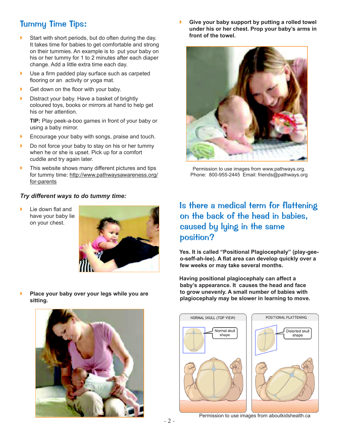# Tummy Time Tips:

- $\blacktriangleright$  Start with short periods, but do often during the day. It takes time for babies to get comfortable and strong on their tummies. An example is to put your baby on his or her tummy for 1 to 2 minutes after each diaper change. Add a little extra time each day.
- ▶ Use a firm padded play surface such as carpeted flooring or an activity or yoga mat.
- Get down on the floor with your baby.
- **Distract your baby. Have a basket of brightly** coloured toys, books or mirrors at hand to help get his or her attention.

**TIP:** Play peek-a-boo games in front of your baby or using a baby mirror.

- **Encourage your baby with songs, praise and touch.**
- **Do not force your baby to stay on his or her tummy** when he or she is upset. Pick up for a comfort cuddle and try again later.
- If This website shows many different pictures and tips for tummy time: http://www.pathwaysawareness.org/ for-parents

#### *Try different ways to do tummy time:*

Lie down flat and have your baby lie on your chest.



} **Give your baby support by putting a rolled towel under his or her chest. Prop your baby's arms in front of the towel.**



Permission to use images from www.pathways.org. Phone: 800-955-2445 Email: friends@pathways.org

# Is there a medical term for flattening on the back of the head in babies, caused by lying in the same position?

**Yes. It is called "Positional Plagiocephaly" (play-geeo-seff-ah-lee). A flat area can develop quickly over a few weeks or may take several months.** 

**Having positional plagiocephaly can affect a baby's appearance. It causes the head and face to grow unevenly. A small number of babies with plagiocephaly may be slower in learning to move.** 



} **Place your baby over your legs while you are** 



Permission to use images from aboutkidshealth.ca